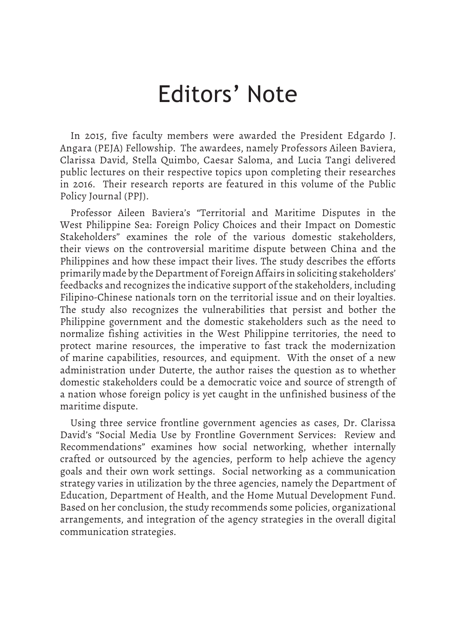## Editors' Note

In 2015, five faculty members were awarded the President Edgardo J. Angara (PEJA) Fellowship. The awardees, namely Professors Aileen Baviera, Clarissa David, Stella Quimbo, Caesar Saloma, and Lucia Tangi delivered public lectures on their respective topics upon completing their researches in 2016. Their research reports are featured in this volume of the Public Policy Journal (PPJ).

Professor Aileen Baviera's "Territorial and Maritime Disputes in the West Philippine Sea: Foreign Policy Choices and their Impact on Domestic Stakeholders" examines the role of the various domestic stakeholders, their views on the controversial maritime dispute between China and the Philippines and how these impact their lives. The study describes the efforts primarily made by the Department of Foreign Affairs in soliciting stakeholders' feedbacks and recognizes the indicative support of the stakeholders, including Filipino-Chinese nationals torn on the territorial issue and on their loyalties. The study also recognizes the vulnerabilities that persist and bother the Philippine government and the domestic stakeholders such as the need to normalize fishing activities in the West Philippine territories, the need to protect marine resources, the imperative to fast track the modernization of marine capabilities, resources, and equipment. With the onset of a new administration under Duterte, the author raises the question as to whether domestic stakeholders could be a democratic voice and source of strength of a nation whose foreign policy is yet caught in the unfinished business of the maritime dispute.

Using three service frontline government agencies as cases, Dr. Clarissa David's "Social Media Use by Frontline Government Services: Review and Recommendations" examines how social networking, whether internally crafted or outsourced by the agencies, perform to help achieve the agency goals and their own work settings. Social networking as a communication strategy varies in utilization by the three agencies, namely the Department of Education, Department of Health, and the Home Mutual Development Fund. Based on her conclusion, the study recommends some policies, organizational arrangements, and integration of the agency strategies in the overall digital communication strategies.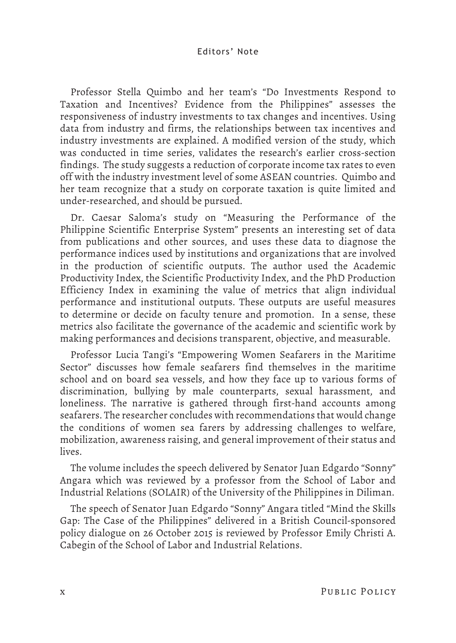## Editors' Note

Professor Stella Quimbo and her team's "Do Investments Respond to Taxation and Incentives? Evidence from the Philippines" assesses the responsiveness of industry investments to tax changes and incentives. Using data from industry and firms, the relationships between tax incentives and industry investments are explained. A modified version of the study, which was conducted in time series, validates the research's earlier cross-section findings. The study suggests a reduction of corporate income tax rates to even off with the industry investment level of some ASEAN countries. Quimbo and her team recognize that a study on corporate taxation is quite limited and under-researched, and should be pursued.

Dr. Caesar Saloma's study on "Measuring the Performance of the Philippine Scientific Enterprise System" presents an interesting set of data from publications and other sources, and uses these data to diagnose the performance indices used by institutions and organizations that are involved in the production of scientific outputs. The author used the Academic Productivity Index, the Scientific Productivity Index, and the PhD Production Efficiency Index in examining the value of metrics that align individual performance and institutional outputs. These outputs are useful measures to determine or decide on faculty tenure and promotion. In a sense, these metrics also facilitate the governance of the academic and scientific work by making performances and decisions transparent, objective, and measurable.

Professor Lucia Tangi's "Empowering Women Seafarers in the Maritime Sector" discusses how female seafarers find themselves in the maritime school and on board sea vessels, and how they face up to various forms of discrimination, bullying by male counterparts, sexual harassment, and loneliness. The narrative is gathered through first-hand accounts among seafarers. The researcher concludes with recommendations that would change the conditions of women sea farers by addressing challenges to welfare, mobilization, awareness raising, and general improvement of their status and lives.

The volume includes the speech delivered by Senator Juan Edgardo "Sonny" Angara which was reviewed by a professor from the School of Labor and Industrial Relations (SOLAIR) of the University of the Philippines in Diliman.

The speech of Senator Juan Edgardo "Sonny" Angara titled "Mind the Skills Gap: The Case of the Philippines" delivered in a British Council-sponsored policy dialogue on 26 October 2015 is reviewed by Professor Emily Christi A. Cabegin of the School of Labor and Industrial Relations.